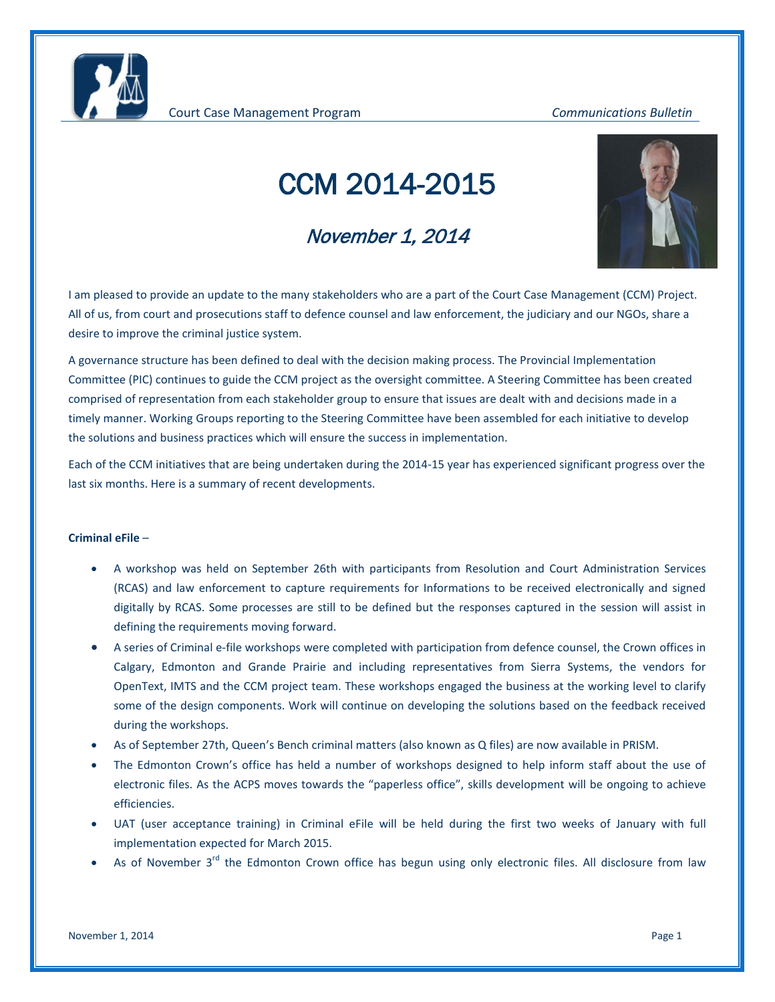Court Case Management Program *Communications Bulletin*

# CCM 2014-2015

## November 1, 2014



I am pleased to provide an update to the many stakeholders who are a part of the Court Case Management (CCM) Project. All of us, from court and prosecutions staff to defence counsel and law enforcement, the judiciary and our NGOs, share a desire to improve the criminal justice system.

A governance structure has been defined to deal with the decision making process. The Provincial Implementation Committee (PIC) continues to guide the CCM project as the oversight committee. A Steering Committee has been created comprised of representation from each stakeholder group to ensure that issues are dealt with and decisions made in a timely manner. Working Groups reporting to the Steering Committee have been assembled for each initiative to develop the solutions and business practices which will ensure the success in implementation.

Each of the CCM initiatives that are being undertaken during the 2014-15 year has experienced significant progress over the last six months. Here is a summary of recent developments.

## **Criminal eFile** –

- A workshop was held on September 26th with participants from Resolution and Court Administration Services (RCAS) and law enforcement to capture requirements for Informations to be received electronically and signed digitally by RCAS. Some processes are still to be defined but the responses captured in the session will assist in defining the requirements moving forward.
- A series of Criminal e-file workshops were completed with participation from defence counsel, the Crown offices in Calgary, Edmonton and Grande Prairie and including representatives from Sierra Systems, the vendors for OpenText, IMTS and the CCM project team. These workshops engaged the business at the working level to clarify some of the design components. Work will continue on developing the solutions based on the feedback received during the workshops.
- As of September 27th, Queen's Bench criminal matters (also known as Q files) are now available in PRISM.
- The Edmonton Crown's office has held a number of workshops designed to help inform staff about the use of electronic files. As the ACPS moves towards the "paperless office", skills development will be ongoing to achieve efficiencies.
- UAT (user acceptance training) in Criminal eFile will be held during the first two weeks of January with full implementation expected for March 2015.
- As of November  $3^{rd}$  the Edmonton Crown office has begun using only electronic files. All disclosure from law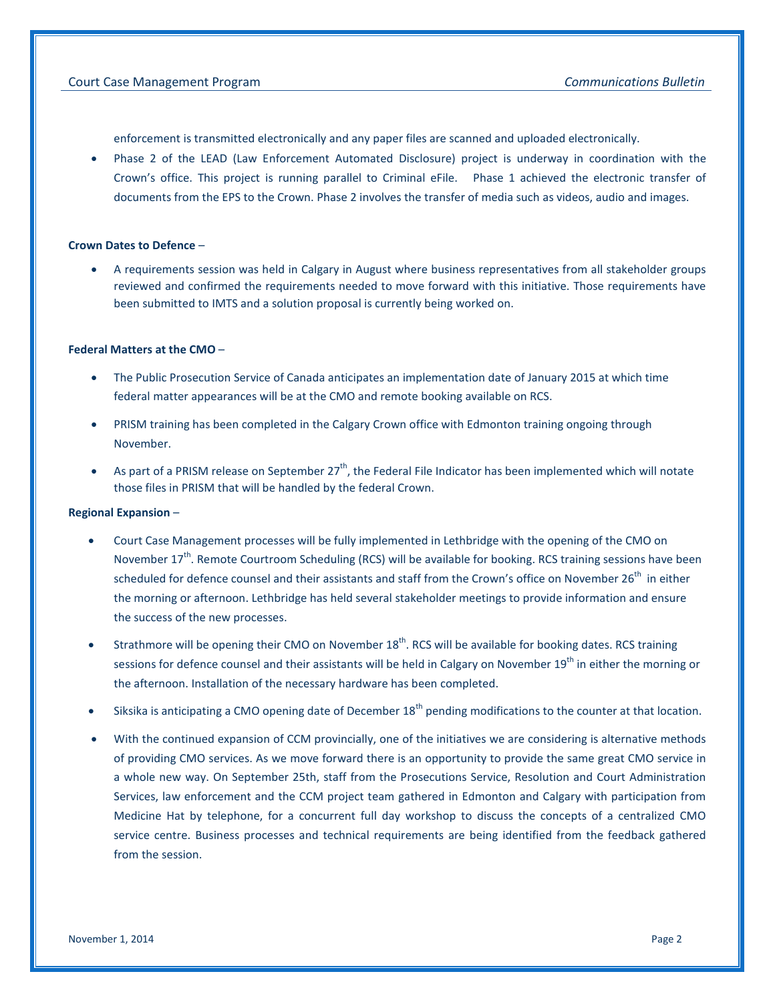enforcement is transmitted electronically and any paper files are scanned and uploaded electronically.

• Phase 2 of the LEAD (Law Enforcement Automated Disclosure) project is underway in coordination with the Crown's office. This project is running parallel to Criminal eFile. Phase 1 achieved the electronic transfer of documents from the EPS to the Crown. Phase 2 involves the transfer of media such as videos, audio and images.

## **Crown Dates to Defence** –

• A requirements session was held in Calgary in August where business representatives from all stakeholder groups reviewed and confirmed the requirements needed to move forward with this initiative. Those requirements have been submitted to IMTS and a solution proposal is currently being worked on.

#### **Federal Matters at the CMO** –

- The Public Prosecution Service of Canada anticipates an implementation date of January 2015 at which time federal matter appearances will be at the CMO and remote booking available on RCS.
- PRISM training has been completed in the Calgary Crown office with Edmonton training ongoing through November.
- As part of a PRISM release on September 27<sup>th</sup>, the Federal File Indicator has been implemented which will notate those files in PRISM that will be handled by the federal Crown.

#### **Regional Expansion** –

- Court Case Management processes will be fully implemented in Lethbridge with the opening of the CMO on November 17<sup>th</sup>. Remote Courtroom Scheduling (RCS) will be available for booking. RCS training sessions have been scheduled for defence counsel and their assistants and staff from the Crown's office on November 26<sup>th</sup> in either the morning or afternoon. Lethbridge has held several stakeholder meetings to provide information and ensure the success of the new processes.
- Strathmore will be opening their CMO on November  $18<sup>th</sup>$ . RCS will be available for booking dates. RCS training sessions for defence counsel and their assistants will be held in Calgary on November 19<sup>th</sup> in either the morning or the afternoon. Installation of the necessary hardware has been completed.
- Siksika is anticipating a CMO opening date of December  $18<sup>th</sup>$  pending modifications to the counter at that location.
- With the continued expansion of CCM provincially, one of the initiatives we are considering is alternative methods of providing CMO services. As we move forward there is an opportunity to provide the same great CMO service in a whole new way. On September 25th, staff from the Prosecutions Service, Resolution and Court Administration Services, law enforcement and the CCM project team gathered in Edmonton and Calgary with participation from Medicine Hat by telephone, for a concurrent full day workshop to discuss the concepts of a centralized CMO service centre. Business processes and technical requirements are being identified from the feedback gathered from the session.